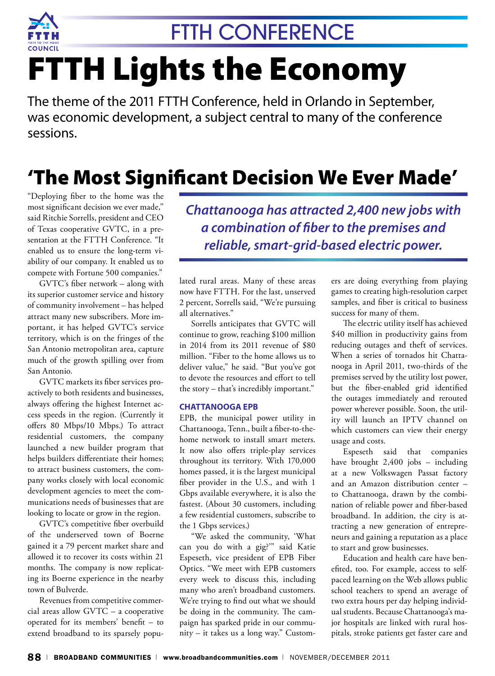

# FTTH Lights the Economy

The theme of the 2011 FTTH Conference, held in Orlando in September, was economic development, a subject central to many of the conference sessions.

### 'The Most Significant Decision We Ever Made'

"Deploying fiber to the home was the most significant decision we ever made," said Ritchie Sorrells, president and CEO of Texas cooperative GVTC, in a presentation at the FTTH Conference. "It enabled us to ensure the long-term viability of our company. It enabled us to compete with Fortune 500 companies."

GVTC's fiber network – along with its superior customer service and history of community involvement – has helped attract many new subscribers. More important, it has helped GVTC's service territory, which is on the fringes of the San Antonio metropolitan area, capture much of the growth spilling over from San Antonio.

GVTC markets its fiber services proactively to both residents and businesses, always offering the highest Internet access speeds in the region. (Currently it offers 80 Mbps/10 Mbps.) To attract residential customers, the company launched a new builder program that helps builders differentiate their homes; to attract business customers, the company works closely with local economic development agencies to meet the communications needs of businesses that are looking to locate or grow in the region.

GVTC's competitive fiber overbuild of the underserved town of Boerne gained it a 79 percent market share and allowed it to recover its costs within 21 months. The company is now replicating its Boerne experience in the nearby town of Bulverde.

Revenues from competitive commercial areas allow GVTC – a cooperative operated for its members' benefit – to extend broadband to its sparsely popu*Chattanooga has attracted 2,400 new jobs with a combination of fiber to the premises and reliable, smart-grid-based electric power.*

lated rural areas. Many of these areas now have FTTH. For the last, unserved 2 percent, Sorrells said, "We're pursuing all alternatives."

Sorrells anticipates that GVTC will continue to grow, reaching \$100 million in 2014 from its 2011 revenue of \$80 million. "Fiber to the home allows us to deliver value," he said. "But you've got to devote the resources and effort to tell the story – that's incredibly important."

#### **Chattanooga EPB**

EPB, the municipal power utility in Chattanooga, Tenn., built a fiber-to-thehome network to install smart meters. It now also offers triple-play services throughout its territory. With 170,000 homes passed, it is the largest municipal fiber provider in the U.S., and with 1 Gbps available everywhere, it is also the fastest. (About 30 customers, including a few residential customers, subscribe to the 1 Gbps services.)

"We asked the community, 'What can you do with a gig?'" said Katie Espeseth, vice president of EPB Fiber Optics. "We meet with EPB customers every week to discuss this, including many who aren't broadband customers. We're trying to find out what we should be doing in the community. The campaign has sparked pride in our community – it takes us a long way." Custom-

ers are doing everything from playing games to creating high-resolution carpet samples, and fiber is critical to business success for many of them.

The electric utility itself has achieved \$40 million in productivity gains from reducing outages and theft of services. When a series of tornados hit Chattanooga in April 2011, two-thirds of the premises served by the utility lost power, but the fiber-enabled grid identified the outages immediately and rerouted power wherever possible. Soon, the utility will launch an IPTV channel on which customers can view their energy usage and costs.

Espeseth said that companies have brought 2,400 jobs – including at a new Volkswagen Passat factory and an Amazon distribution center – to Chattanooga, drawn by the combination of reliable power and fiber-based broadband. In addition, the city is attracting a new generation of entrepreneurs and gaining a reputation as a place to start and grow businesses.

Education and health care have benefited, too. For example, access to selfpaced learning on the Web allows public school teachers to spend an average of two extra hours per day helping individual students. Because Chattanooga's major hospitals are linked with rural hospitals, stroke patients get faster care and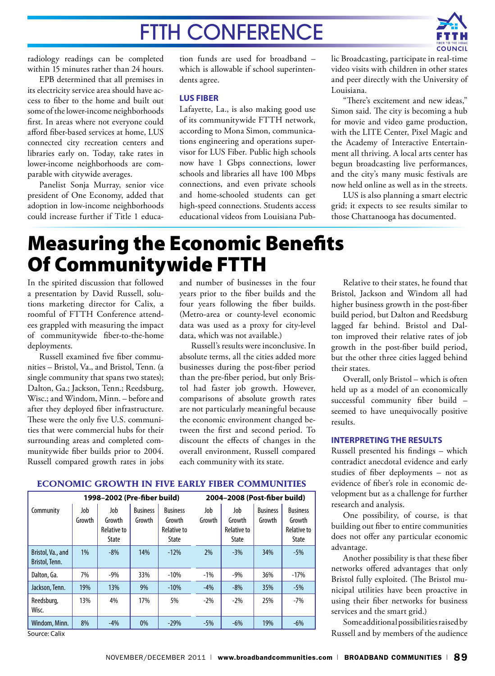

radiology readings can be completed within 15 minutes rather than 24 hours.

EPB determined that all premises in its electricity service area should have access to fiber to the home and built out some of the lower-income neighborhoods first. In areas where not everyone could afford fiber-based services at home, LUS connected city recreation centers and libraries early on. Today, take rates in lower-income neighborhoods are comparable with citywide averages.

Panelist Sonja Murray, senior vice president of One Economy, added that adoption in low-income neighborhoods could increase further if Title 1 educa-

tion funds are used for broadband – which is allowable if school superintendents agree.

#### **LUS Fiber**

Lafayette, La., is also making good use of its communitywide FTTH network, according to Mona Simon, communications engineering and operations supervisor for LUS Fiber. Public high schools now have 1 Gbps connections, lower schools and libraries all have 100 Mbps connections, and even private schools and home-schooled students can get high-speed connections. Students access educational videos from Louisiana Public Broadcasting, participate in real-time video visits with children in other states and peer directly with the University of Louisiana.

"There's excitement and new ideas," Simon said. The city is becoming a hub for movie and video game production, with the LITE Center, Pixel Magic and the Academy of Interactive Entertainment all thriving. A local arts center has begun broadcasting live performances, and the city's many music festivals are now held online as well as in the streets.

LUS is also planning a smart electric grid; it expects to see results similar to those Chattanooga has documented.

### Measuring the Economic Benefits Of Communitywide FTTH

In the spirited discussion that followed a presentation by David Russell, solutions marketing director for Calix, a roomful of FTTH Conference attendees grappled with measuring the impact of communitywide fiber-to-the-home deployments.

Russell examined five fiber communities – Bristol, Va., and Bristol, Tenn. (a single community that spans two states); Dalton, Ga.; Jackson, Tenn.; Reedsburg, Wisc.; and Windom, Minn. – before and after they deployed fiber infrastructure. These were the only five U.S. communities that were commercial hubs for their surrounding areas and completed communitywide fiber builds prior to 2004. Russell compared growth rates in jobs

and number of businesses in the four years prior to the fiber builds and the four years following the fiber builds. (Metro-area or county-level economic data was used as a proxy for city-level data, which was not available.)

Russell's results were inconclusive. In absolute terms, all the cities added more businesses during the post-fiber period than the pre-fiber period, but only Bristol had faster job growth. However, comparisons of absolute growth rates are not particularly meaningful because the economic environment changed between the first and second period. To discount the effects of changes in the overall environment, Russell compared each community with its state.

Relative to their states, he found that Bristol, Jackson and Windom all had higher business growth in the post-fiber build period, but Dalton and Reedsburg lagged far behind. Bristol and Dalton improved their relative rates of job growth in the post-fiber build period, but the other three cities lagged behind their states.

Overall, only Bristol – which is often held up as a model of an economically successful community fiber build – seemed to have unequivocally positive results.

#### **Interpreting the Results**

Russell presented his findings – which contradict anecdotal evidence and early studies of fiber deployments – not as evidence of fiber's role in economic development but as a challenge for further research and analysis.

One possibility, of course, is that building out fiber to entire communities does not offer any particular economic advantage.

Another possibility is that these fiber networks offered advantages that only Bristol fully exploited. (The Bristol municipal utilities have been proactive in using their fiber networks for business services and the smart grid.)

Some additional possibilities raised by Russell and by members of the audience

### **Economic Growth in Five Early Fiber Communities**

| 1998-2002 (Pre-fiber build)         |               |                                       |                           |                                                   | 2004-2008 (Post-fiber build) |                                       |                           |                                                          |
|-------------------------------------|---------------|---------------------------------------|---------------------------|---------------------------------------------------|------------------------------|---------------------------------------|---------------------------|----------------------------------------------------------|
| Community                           | Job<br>Growth | Job<br>Growth<br>Relative to<br>State | <b>Business</b><br>Growth | <b>Business</b><br>Growth<br>Relative to<br>State | Job<br>Growth                | Job<br>Growth<br>Relative to<br>State | <b>Business</b><br>Growth | <b>Business</b><br>Growth<br>Relative to<br><b>State</b> |
| Bristol, Va., and<br>Bristol, Tenn. | 1%            | $-8%$                                 | 14%                       | $-12%$                                            | 2%                           | $-3\%$                                | 34%                       | $-5%$                                                    |
| Dalton, Ga.                         | 7%            | $-9%$                                 | 33%                       | $-10%$                                            | $-1%$                        | $-9%$                                 | 36%                       | $-17%$                                                   |
| Jackson, Tenn.                      | 19%           | 13%                                   | 9%                        | $-10%$                                            | $-4%$                        | $-8%$                                 | 35%                       | $-5%$                                                    |
| Reedsburg,<br>Wisc.                 | 13%           | 4%                                    | 17%                       | 5%                                                | $-2\%$                       | $-2\%$                                | 25%                       | $-7%$                                                    |
| Windom, Minn.                       | 8%            | $-4%$                                 | 0%                        | $-29%$                                            | $-5%$                        | $-6%$                                 | 19%                       | $-6\%$                                                   |
| Source: Calix                       |               |                                       |                           |                                                   |                              |                                       |                           |                                                          |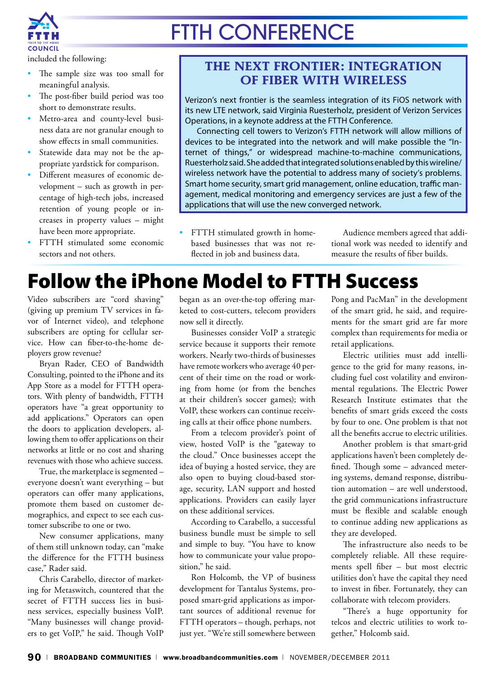

included the following:

- The sample size was too small for meaningful analysis.
- The post-fiber build period was too short to demonstrate results.
- Metro-area and county-level business data are not granular enough to show effects in small communities.
- Statewide data may not be the appropriate yardstick for comparison.
- Different measures of economic development – such as growth in percentage of high-tech jobs, increased retention of young people or increases in property values – might have been more appropriate.
- FTTH stimulated some economic sectors and not others.

### **the Next Frontier: Integration of Fiber With Wireless**

Verizon's next frontier is the seamless integration of its FiOS network with its new LTE network, said Virginia Ruesterholz, president of Verizon Services Operations, in a keynote address at the FTTH Conference.

Connecting cell towers to Verizon's FTTH network will allow millions of devices to be integrated into the network and will make possible the "Internet of things," or widespread machine-to-machine communications, Ruesterholz said. She added that integrated solutions enabled by this wireline/ wireless network have the potential to address many of society's problems. Smart home security, smart grid management, online education, traffic management, medical monitoring and emergency services are just a few of the applications that will use the new converged network.

• FTTH stimulated growth in homebased businesses that was not reflected in job and business data.

Audience members agreed that additional work was needed to identify and measure the results of fiber builds.

### Follow the iPhone Model to FTTH Success

Video subscribers are "cord shaving" (giving up premium TV services in favor of Internet video), and telephone subscribers are opting for cellular service. How can fiber-to-the-home deployers grow revenue?

Bryan Rader, CEO of Bandwidth Consulting, pointed to the iPhone and its App Store as a model for FTTH operators. With plenty of bandwidth, FTTH operators have "a great opportunity to add applications." Operators can open the doors to application developers, allowing them to offer applications on their networks at little or no cost and sharing revenues with those who achieve success.

True, the marketplace is segmented – everyone doesn't want everything – but operators can offer many applications, promote them based on customer demographics, and expect to see each customer subscribe to one or two.

New consumer applications, many of them still unknown today, can "make the difference for the FTTH business case," Rader said.

Chris Carabello, director of marketing for Metaswitch, countered that the secret of FTTH success lies in business services, especially business VoIP. "Many businesses will change providers to get VoIP," he said. Though VoIP

began as an over-the-top offering marketed to cost-cutters, telecom providers now sell it directly.

Businesses consider VoIP a strategic service because it supports their remote workers. Nearly two-thirds of businesses have remote workers who average 40 percent of their time on the road or working from home (or from the benches at their children's soccer games); with VoIP, these workers can continue receiving calls at their office phone numbers.

From a telecom provider's point of view, hosted VoIP is the "gateway to the cloud." Once businesses accept the idea of buying a hosted service, they are also open to buying cloud-based storage, security, LAN support and hosted applications. Providers can easily layer on these additional services.

According to Carabello, a successful business bundle must be simple to sell and simple to buy. "You have to know how to communicate your value proposition," he said.

Ron Holcomb, the VP of business development for Tantalus Systems, proposed smart-grid applications as important sources of additional revenue for FTTH operators – though, perhaps, not just yet. "We're still somewhere between

Pong and PacMan" in the development of the smart grid, he said, and requirements for the smart grid are far more complex than requirements for media or retail applications.

Electric utilities must add intelligence to the grid for many reasons, including fuel cost volatility and environmental regulations. The Electric Power Research Institute estimates that the benefits of smart grids exceed the costs by four to one. One problem is that not all the benefits accrue to electric utilities.

Another problem is that smart-grid applications haven't been completely defined. Though some – advanced metering systems, demand response, distribution automation – are well understood, the grid communications infrastructure must be flexible and scalable enough to continue adding new applications as they are developed.

The infrastructure also needs to be completely reliable. All these requirements spell fiber – but most electric utilities don't have the capital they need to invest in fiber. Fortunately, they can collaborate with telecom providers.

"There's a huge opportunity for telcos and electric utilities to work together," Holcomb said.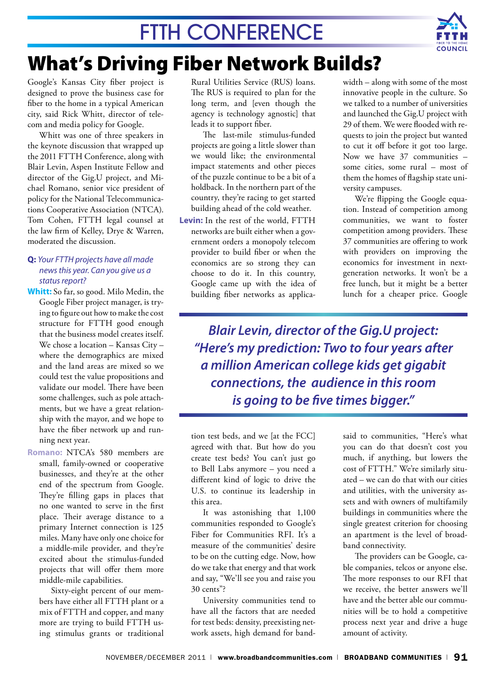

### What's Driving Fiber Network Builds?

Google's Kansas City fiber project is designed to prove the business case for fiber to the home in a typical American city, said Rick Whitt, director of telecom and media policy for Google.

Whitt was one of three speakers in the keynote discussion that wrapped up the 2011 FTTH Conference, along with Blair Levin, Aspen Institute Fellow and director of the Gig.U project, and Michael Romano, senior vice president of policy for the National Telecommunications Cooperative Association (NTCA). Tom Cohen, FTTH legal counsel at the law firm of Kelley, Drye & Warren, moderated the discussion.

### **Q:** *Your FTTH projects have all made news this year. Can you give us a status report?*

- **Whitt:** So far, so good. Milo Medin, the Google Fiber project manager, is trying to figure out how to make the cost structure for FTTH good enough that the business model creates itself. We chose a location – Kansas City – where the demographics are mixed and the land areas are mixed so we could test the value propositions and validate our model. There have been some challenges, such as pole attachments, but we have a great relationship with the mayor, and we hope to have the fiber network up and running next year.
- **Romano:** NTCA's 580 members are small, family-owned or cooperative businesses, and they're at the other end of the spectrum from Google. They're filling gaps in places that no one wanted to serve in the first place. Their average distance to a primary Internet connection is 125 miles. Many have only one choice for a middle-mile provider, and they're excited about the stimulus-funded projects that will offer them more middle-mile capabilities.

Sixty-eight percent of our members have either all FTTH plant or a mix of FTTH and copper, and many more are trying to build FTTH using stimulus grants or traditional Rural Utilities Service (RUS) loans. The RUS is required to plan for the long term, and [even though the agency is technology agnostic] that leads it to support fiber.

The last-mile stimulus-funded projects are going a little slower than we would like; the environmental impact statements and other pieces of the puzzle continue to be a bit of a holdback. In the northern part of the country, they're racing to get started building ahead of the cold weather.

**Levin:** In the rest of the world, FTTH networks are built either when a government orders a monopoly telecom provider to build fiber or when the economics are so strong they can choose to do it. In this country, Google came up with the idea of building fiber networks as applicawidth – along with some of the most innovative people in the culture. So we talked to a number of universities and launched the Gig.U project with 29 of them. We were flooded with requests to join the project but wanted to cut it off before it got too large. Now we have 37 communities – some cities, some rural – most of them the homes of flagship state university campuses.

We're flipping the Google equation. Instead of competition among communities, we want to foster competition among providers. These 37 communities are offering to work with providers on improving the economics for investment in nextgeneration networks. It won't be a free lunch, but it might be a better lunch for a cheaper price. Google

*Blair Levin, director of the Gig.U project: "Here's my prediction: Two to four years after a million American college kids get gigabit connections, the audience in this room is going to be five times bigger."* 

tion test beds, and we [at the FCC] agreed with that. But how do you create test beds? You can't just go to Bell Labs anymore – you need a different kind of logic to drive the U.S. to continue its leadership in this area.

It was astonishing that 1,100 communities responded to Google's Fiber for Communities RFI. It's a measure of the communities' desire to be on the cutting edge. Now, how do we take that energy and that work and say, "We'll see you and raise you 30 cents"?

University communities tend to have all the factors that are needed for test beds: density, preexisting network assets, high demand for bandsaid to communities, "Here's what you can do that doesn't cost you much, if anything, but lowers the cost of FTTH." We're similarly situated – we can do that with our cities and utilities, with the university assets and with owners of multifamily buildings in communities where the single greatest criterion for choosing an apartment is the level of broadband connectivity.

The providers can be Google, cable companies, telcos or anyone else. The more responses to our RFI that we receive, the better answers we'll have and the better able our communities will be to hold a competitive process next year and drive a huge amount of activity.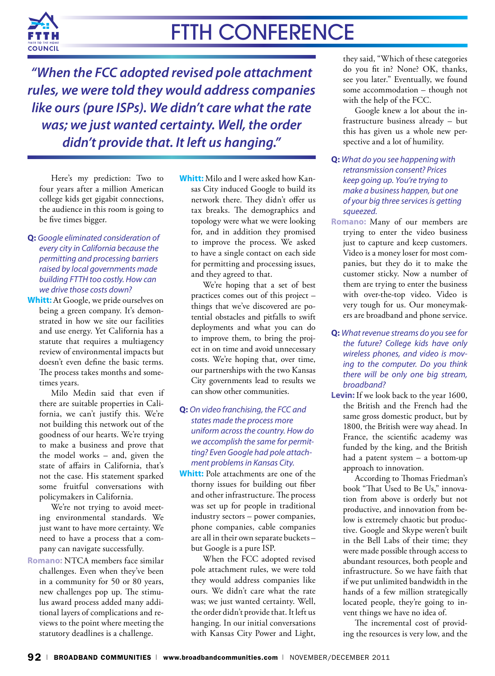

*"When the FCC adopted revised pole attachment rules, we were told they would address companies like ours (pure ISPs). We didn't care what the rate was; we just wanted certainty. Well, the order didn't provide that. It left us hanging."* 

Here's my prediction: Two to four years after a million American college kids get gigabit connections, the audience in this room is going to be five times bigger.

- **Q:** *Google eliminated consideration of every city in California because the permitting and processing barriers raised by local governments made building FTTH too costly. How can we drive those costs down?*
- **Whitt:** At Google, we pride ourselves on being a green company. It's demonstrated in how we site our facilities and use energy. Yet California has a statute that requires a multiagency review of environmental impacts but doesn't even define the basic terms. The process takes months and sometimes years.

Milo Medin said that even if there are suitable properties in California, we can't justify this. We're not building this network out of the goodness of our hearts. We're trying to make a business and prove that the model works – and, given the state of affairs in California, that's not the case. His statement sparked some fruitful conversations with policymakers in California.

We're not trying to avoid meeting environmental standards. We just want to have more certainty. We need to have a process that a company can navigate successfully.

**Romano:** NTCA members face similar challenges. Even when they've been in a community for 50 or 80 years, new challenges pop up. The stimulus award process added many additional layers of complications and reviews to the point where meeting the statutory deadlines is a challenge.

**Whitt:** Milo and I were asked how Kansas City induced Google to build its network there. They didn't offer us tax breaks. The demographics and topology were what we were looking for, and in addition they promised to improve the process. We asked to have a single contact on each side for permitting and processing issues, and they agreed to that.

We're hoping that a set of best practices comes out of this project – things that we've discovered are potential obstacles and pitfalls to swift deployments and what you can do to improve them, to bring the project in on time and avoid unnecessary costs. We're hoping that, over time, our partnerships with the two Kansas City governments lead to results we can show other communities.

### **Q:** *On video franchising, the FCC and states made the process more uniform across the country. How do we accomplish the same for permitting? Even Google had pole attachment problems in Kansas City.*

**Whitt:** Pole attachments are one of the thorny issues for building out fiber and other infrastructure. The process was set up for people in traditional industry sectors – power companies, phone companies, cable companies are all in their own separate buckets – but Google is a pure ISP.

When the FCC adopted revised pole attachment rules, we were told they would address companies like ours. We didn't care what the rate was; we just wanted certainty. Well, the order didn't provide that. It left us hanging. In our initial conversations with Kansas City Power and Light,

they said, "Which of these categories do you fit in? None? OK, thanks, see you later." Eventually, we found some accommodation – though not with the help of the FCC.

Google knew a lot about the infrastructure business already – but this has given us a whole new perspective and a lot of humility.

- **Q:** *What do you see happening with retransmission consent? Prices keep going up. You're trying to make a business happen, but one of your big three services is getting squeezed.*
- **Romano:** Many of our members are trying to enter the video business just to capture and keep customers. Video is a money loser for most companies, but they do it to make the customer sticky. Now a number of them are trying to enter the business with over-the-top video. Video is very tough for us. Our moneymakers are broadband and phone service.
- **Q:** *What revenue streams do you see for the future? College kids have only wireless phones, and video is moving to the computer. Do you think there will be only one big stream, broadband?*
- **Levin:** If we look back to the year 1600, the British and the French had the same gross domestic product, but by 1800, the British were way ahead. In France, the scientific academy was funded by the king, and the British had a patent system – a bottom-up approach to innovation.

According to Thomas Friedman's book "That Used to Be Us," innovation from above is orderly but not productive, and innovation from below is extremely chaotic but productive. Google and Skype weren't built in the Bell Labs of their time; they were made possible through access to abundant resources, both people and infrastructure. So we have faith that if we put unlimited bandwidth in the hands of a few million strategically located people, they're going to invent things we have no idea of.

The incremental cost of providing the resources is very low, and the